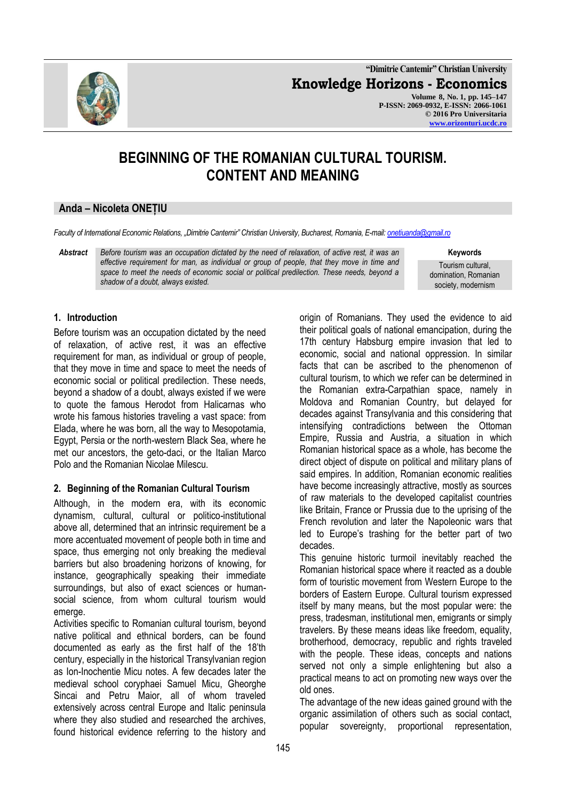

**"Dimitrie Cantemir" Christian University Knowledge Horizons - Economics Volume 8, No. 1, pp. 145–147 P-ISSN: 2069-0932, E-ISSN: 2066-1061 © 2016 Pro Universitaria [www.orizonturi.ucdc.ro](http://www.orizonturi.ucdc.ro/)**

# **BEGINNING OF THE ROMANIAN CULTURAL TOURISM. CONTENT AND MEANING**

# **Anda – Nicoleta ONEȚIU**

*Faculty of International Economic Relations, "Dimitrie Cantemir" Christian University, Bucharest, Romania, E-mail[: onetiuanda@gmail.ro](mailto:onetiuanda@gmail.ro)*

*Abstract Before tourism was an occupation dictated by the need of relaxation, of active rest, it was an effective requirement for man, as individual or group of people, that they move in time and space to meet the needs of economic social or political predilection. These needs, beyond a shadow of a doubt, always existed.*

**Keywords**

Tourism cultural, domination, Romanian society, modernism

### **1. Introduction**

Before tourism was an occupation dictated by the need of relaxation, of active rest, it was an effective requirement for man, as individual or group of people, that they move in time and space to meet the needs of economic social or political predilection. These needs, beyond a shadow of a doubt, always existed if we were to quote the famous Herodot from Halicarnas who wrote his famous histories traveling a vast space: from Elada, where he was born, all the way to Mesopotamia, Egypt, Persia or the north-western Black Sea, where he met our ancestors, the geto-daci, or the Italian Marco Polo and the Romanian Nicolae Milescu.

### **2. Beginning of the Romanian Cultural Tourism**

Although, in the modern era, with its economic dynamism, cultural, cultural or politico-institutional above all, determined that an intrinsic requirement be a more accentuated movement of people both in time and space, thus emerging not only breaking the medieval barriers but also broadening horizons of knowing, for instance, geographically speaking their immediate surroundings, but also of exact sciences or humansocial science, from whom cultural tourism would emerge.

Activities specific to Romanian cultural tourism, beyond native political and ethnical borders, can be found documented as early as the first half of the 18'th century, especially in the historical Transylvanian region as Ion-Inochentie Micu notes. A few decades later the medieval school coryphaei Samuel Micu, Gheorghe Sincai and Petru Maior, all of whom traveled extensively across central Europe and Italic peninsula where they also studied and researched the archives, found historical evidence referring to the history and

origin of Romanians. They used the evidence to aid their political goals of national emancipation, during the 17th century Habsburg empire invasion that led to economic, social and national oppression. In similar facts that can be ascribed to the phenomenon of cultural tourism, to which we refer can be determined in the Romanian extra-Carpathian space, namely in Moldova and Romanian Country, but delayed for decades against Transylvania and this considering that intensifying contradictions between the Ottoman Empire, Russia and Austria, a situation in which Romanian historical space as a whole, has become the direct object of dispute on political and military plans of said empires. In addition, Romanian economic realities have become increasingly attractive, mostly as sources of raw materials to the developed capitalist countries like Britain, France or Prussia due to the uprising of the French revolution and later the Napoleonic wars that led to Europe's trashing for the better part of two decades.

This genuine historic turmoil inevitably reached the Romanian historical space where it reacted as a double form of touristic movement from Western Europe to the borders of Eastern Europe. Cultural tourism expressed itself by many means, but the most popular were: the press, tradesman, institutional men, emigrants or simply travelers. By these means ideas like freedom, equality, brotherhood, democracy, republic and rights traveled with the people. These ideas, concepts and nations served not only a simple enlightening but also a practical means to act on promoting new ways over the old ones.

The advantage of the new ideas gained ground with the organic assimilation of others such as social contact, popular sovereignty, proportional representation,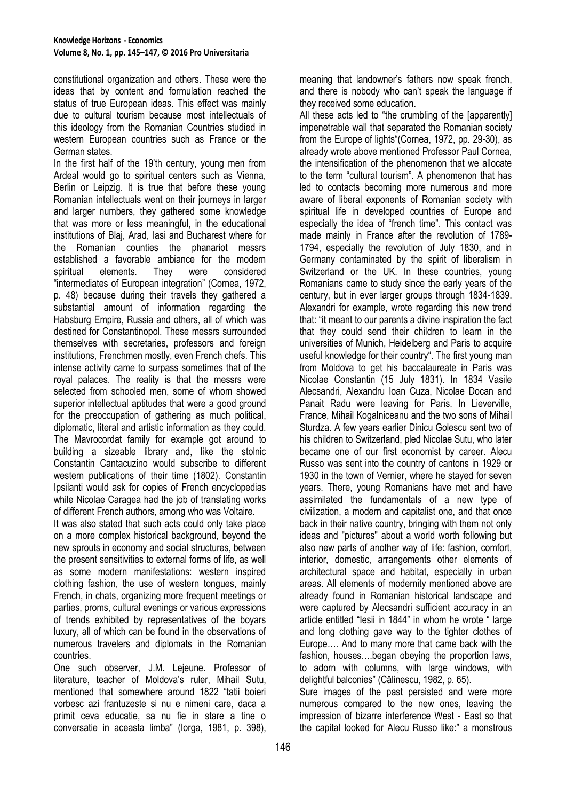constitutional organization and others. These were the ideas that by content and formulation reached the status of true European ideas. This effect was mainly due to cultural tourism because most intellectuals of this ideology from the Romanian Countries studied in western European countries such as France or the German states.

In the first half of the 19'th century, young men from Ardeal would go to spiritual centers such as Vienna, Berlin or Leipzig. It is true that before these young Romanian intellectuals went on their journeys in larger and larger numbers, they gathered some knowledge that was more or less meaningful, in the educational institutions of Blaj, Arad, Iasi and Bucharest where for the Romanian counties the phanariot messrs established a favorable ambiance for the modern spiritual elements. They were considered "intermediates of European integration" (Cornea, 1972, p. 48) because during their travels they gathered a substantial amount of information regarding the Habsburg Empire, Russia and others, all of which was destined for Constantinopol. These messrs surrounded themselves with secretaries, professors and foreign institutions, Frenchmen mostly, even French chefs. This intense activity came to surpass sometimes that of the royal palaces. The reality is that the messrs were selected from schooled men, some of whom showed superior intellectual aptitudes that were a good ground for the preoccupation of gathering as much political, diplomatic, literal and artistic information as they could. The Mavrocordat family for example got around to building a sizeable library and, like the stolnic Constantin Cantacuzino would subscribe to different western publications of their time (1802). Constantin Ipsilanti would ask for copies of French encyclopedias while Nicolae Caragea had the job of translating works of different French authors, among who was Voltaire.

It was also stated that such acts could only take place on a more complex historical background, beyond the new sprouts in economy and social structures, between the present sensitivities to external forms of life, as well as some modern manifestations: western inspired clothing fashion, the use of western tongues, mainly French, in chats, organizing more frequent meetings or parties, proms, cultural evenings or various expressions of trends exhibited by representatives of the boyars luxury, all of which can be found in the observations of numerous travelers and diplomats in the Romanian countries.

One such observer, J.M. Lejeune. Professor of literature, teacher of Moldova's ruler, Mihail Sutu, mentioned that somewhere around 1822 "tatii boieri vorbesc azi frantuzeste si nu e nimeni care, daca a primit ceva educatie, sa nu fie in stare a tine o conversatie in aceasta limba" (Iorga, 1981, p. 398),

meaning that landowner's fathers now speak french, and there is nobody who can't speak the language if they received some education.

All these acts led to "the crumbling of the [apparently] impenetrable wall that separated the Romanian society from the Europe of lights"(Cornea, 1972, pp. 29-30), as already wrote above mentioned Professor Paul Cornea, the intensification of the phenomenon that we allocate to the term "cultural tourism". A phenomenon that has led to contacts becoming more numerous and more aware of liberal exponents of Romanian society with spiritual life in developed countries of Europe and especially the idea of "french time". This contact was made mainly in France after the revolution of 1789- 1794, especially the revolution of July 1830, and in Germany contaminated by the spirit of liberalism in Switzerland or the UK. In these countries, young Romanians came to study since the early years of the century, but in ever larger groups through 1834-1839. Alexandri for example, wrote regarding this new trend that: "it meant to our parents a divine inspiration the fact that they could send their children to learn in the universities of Munich, Heidelberg and Paris to acquire useful knowledge for their country". The first young man from Moldova to get his baccalaureate in Paris was Nicolae Constantin (15 July 1831). In 1834 Vasile Alecsandri, Alexandru Ioan Cuza, Nicolae Docan and Panait Radu were leaving for Paris. In Lieverville, France, Mihail Kogalniceanu and the two sons of Mihail Sturdza. A few years earlier Dinicu Golescu sent two of his children to Switzerland, pled Nicolae Sutu, who later became one of our first economist by career. Alecu Russo was sent into the country of cantons in 1929 or 1930 in the town of Vernier, where he stayed for seven years. There, young Romanians have met and have assimilated the fundamentals of a new type of civilization, a modern and capitalist one, and that once back in their native country, bringing with them not only ideas and "pictures" about a world worth following but also new parts of another way of life: fashion, comfort, interior, domestic, arrangements other elements of architectural space and habitat, especially in urban areas. All elements of modernity mentioned above are already found in Romanian historical landscape and were captured by Alecsandri sufficient accuracy in an article entitled "Iesii in 1844" in whom he wrote " large and long clothing gave way to the tighter clothes of Europe…. And to many more that came back with the fashion, houses….began obeying the proportion laws, to adorn with columns, with large windows, with delightful balconies" (Călinescu, 1982, p. 65).

Sure images of the past persisted and were more numerous compared to the new ones, leaving the impression of bizarre interference West - East so that the capital looked for Alecu Russo like:" a monstrous